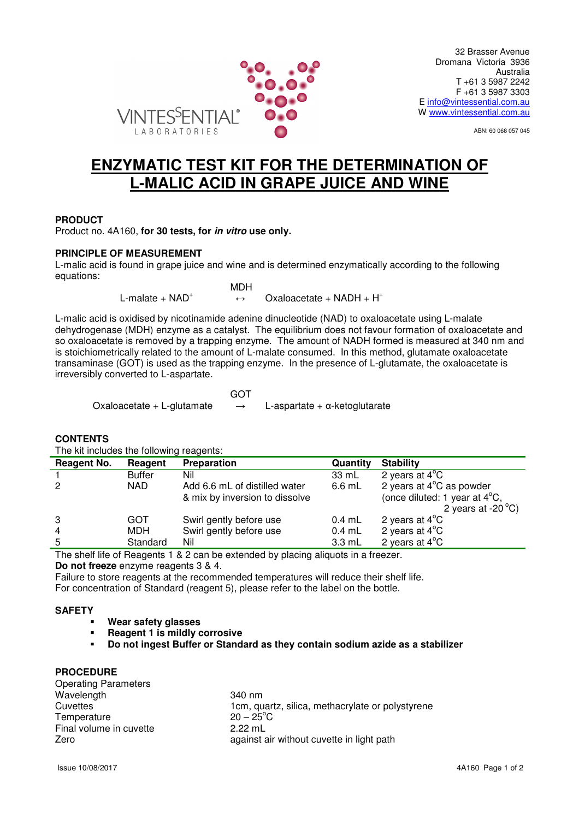

ABN: 60 068 057 045

# **ENZYMATIC TEST KIT FOR THE DETERMINATION OF L-MALIC ACID IN GRAPE JUICE AND WINE**

## **PRODUCT**

Product no. 4A160, **for 30 tests, for in vitro use only.**

## **PRINCIPLE OF MEASUREMENT**

L-malic acid is found in grape juice and wine and is determined enzymatically according to the following equations:

 MDH L-malate  $+$  NAD<sup>+</sup>

 $\leftrightarrow$  Oxaloacetate + NADH + H<sup>+</sup>

L-malic acid is oxidised by nicotinamide adenine dinucleotide (NAD) to oxaloacetate using L-malate dehydrogenase (MDH) enzyme as a catalyst. The equilibrium does not favour formation of oxaloacetate and so oxaloacetate is removed by a trapping enzyme. The amount of NADH formed is measured at 340 nm and is stoichiometrically related to the amount of L-malate consumed. In this method, glutamate oxaloacetate transaminase (GOT) is used as the trapping enzyme. In the presence of L-glutamate, the oxaloacetate is irreversibly converted to L-aspartate.

**GOT** GOT A CONTROL CONTROL CONTROL CONTROL CONTROL CONTROL CONTROL CONTROL CONTROL CONTROL CONTROL CONTROL CONTROL CONTROL CONTROL CONTROL CONTROL CONTROL CONTROL CONTROL CONTROL CONTROL CONTROL CONTROL CONTROL CONTROL CO

Oxaloacetate + L-glutamate  $\rightarrow$  L-aspartate +  $\alpha$ -ketoglutarate

**CONTENTS** 

The kit includes the following reagents:

| 2 years at $4^{\circ}$ C as powder      |
|-----------------------------------------|
| (once diluted: 1 year at $4^{\circ}$ C, |
| 2 years at -20 $\mathrm{^{\circ}C}$ )   |
|                                         |
|                                         |
|                                         |
|                                         |

The shelf life of Reagents 1 & 2 can be extended by placing aliquots in a freezer. **Do not freeze** enzyme reagents 3 & 4.

Failure to store reagents at the recommended temperatures will reduce their shelf life. For concentration of Standard (reagent 5), please refer to the label on the bottle.

## **SAFETY**

- **Wear safety glasses**
- **Reagent 1 is mildly corrosive**
- **Do not ingest Buffer or Standard as they contain sodium azide as a stabilizer**

## **PROCEDURE**

| <b>Operating Parameters</b> |                                                  |
|-----------------------------|--------------------------------------------------|
| Wavelength                  | 340 nm                                           |
| Cuvettes                    | 1cm, quartz, silica, methacrylate or polystyrene |
| Temperature                 | $20 - 25^{\circ}$ C                              |
| Final volume in cuvette     | $2.22 \text{ mL}$                                |
| Zero                        | against air without cuvette in light path        |